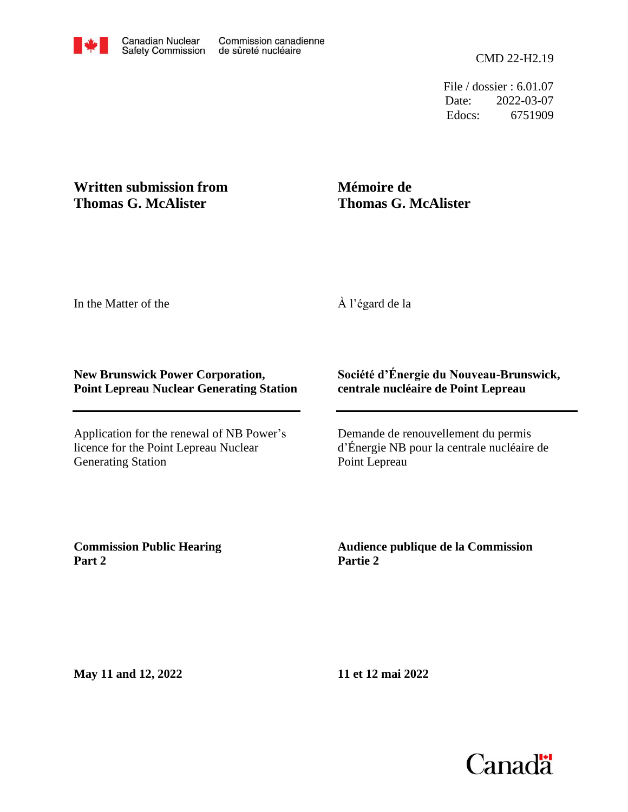File / dossier : 6.01.07 Date: 2022-03-07 Edocs: 6751909

## **Written submission from Thomas G. McAlister**

## **Mémoire de Thomas G. McAlister**

In the Matter of the

À l'égard de la

## **New Brunswick Power Corporation, Point Lepreau Nuclear Generating Station**

Application for the renewal of NB Power's licence for the Point Lepreau Nuclear Generating Station

## **Société d'Énergie du Nouveau-Brunswick, centrale nucléaire de Point Lepreau**

Demande de renouvellement du permis d'Énergie NB pour la centrale nucléaire de Point Lepreau

**Commission Public Hearing Part 2**

**Audience publique de la Commission Partie 2**

**May 11 and 12, 2022**

**11 et 12 mai 2022**